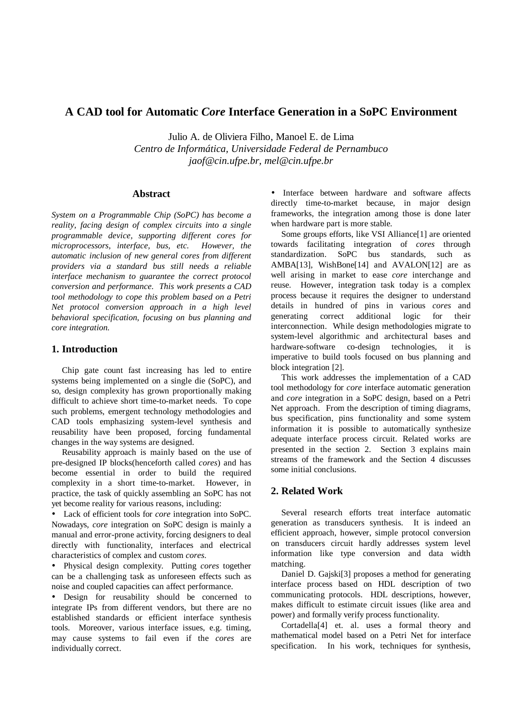# **A CAD tool for Automatic** *Core* **Interface Generation in a SoPC Environment**

Julio A. de Oliviera Filho, Manoel E. de Lima *Centro de Informática, Universidade Federal de Pernambuco jaof@cin.ufpe.br, mel@cin.ufpe.br*

#### **Abstract**

*System on a Programmable Chip (SoPC) has become a reality, facing design of complex circuits into a single programmable device, supporting different cores for microprocessors, interface, bus, etc. However, the automatic inclusion of new general cores from different providers via a standard bus still needs a reliable interface mechanism to guarantee the correct protocol conversion and performance. This work presents a CAD tool methodology to cope this problem based on a Petri Net protocol conversion approach in a high level behavioral specification, focusing on bus planning and core integration.*

## **1. Introduction**

Chip gate count fast increasing has led to entire systems being implemented on a single die (SoPC), and so, design complexity has grown proportionally making difficult to achieve short time-to-market needs. To cope such problems, emergent technology methodologies and CAD tools emphasizing system-level synthesis and reusability have been proposed, forcing fundamental changes in the way systems are designed.

Reusability approach is mainly based on the use of pre-designed IP blocks(henceforth called *cores*) and has become essential in order to build the required complexity in a short time-to-market. However, in practice, the task of quickly assembling an SoPC has not yet become reality for various reasons, including:

• Lack of efficient tools for *core* integration into SoPC. Nowadays, *core* integration on SoPC design is mainly a manual and error-prone activity, forcing designers to deal directly with functionality, interfaces and electrical characteristics of complex and custom *cores*.

• Physical design complexity. Putting *cores* together can be a challenging task as unforeseen effects such as noise and coupled capacities can affect performance.

• Design for reusability should be concerned to integrate IPs from different vendors, but there are no established standards or efficient interface synthesis tools. Moreover, various interface issues, e.g. timing, may cause systems to fail even if the *cores* are individually correct.

• Interface between hardware and software affects directly time-to-market because, in major design frameworks, the integration among those is done later when hardware part is more stable.

Some groups efforts, like VSI Alliance[1] are oriented towards facilitating integration of *cores* through standardization. SoPC bus standards, such as AMBA[13], WishBone[14] and AVALON[12] are as well arising in market to ease *core* interchange and reuse. However, integration task today is a complex process because it requires the designer to understand details in hundred of pins in various *cores* and generating correct additional logic for their interconnection. While design methodologies migrate to system-level algorithmic and architectural bases and hardware-software co-design technologies, it is imperative to build tools focused on bus planning and block integration [2].

This work addresses the implementation of a CAD tool methodology for *core* interface automatic generation and *core* integration in a SoPC design, based on a Petri Net approach. From the description of timing diagrams, bus specification, pins functionality and some system information it is possible to automatically synthesize adequate interface process circuit. Related works are presented in the section 2. Section 3 explains main streams of the framework and the Section 4 discusses some initial conclusions.

## **2. Related Work**

Several research efforts treat interface automatic generation as transducers synthesis. It is indeed an efficient approach, however, simple protocol conversion on transducers circuit hardly addresses system level information like type conversion and data width matching.

Daniel D. Gajski[3] proposes a method for generating interface process based on HDL description of two communicating protocols. HDL descriptions, however, makes difficult to estimate circuit issues (like area and power) and formally verify process functionality.

Cortadella[4] et. al. uses a formal theory and mathematical model based on a Petri Net for interface specification. In his work, techniques for synthesis,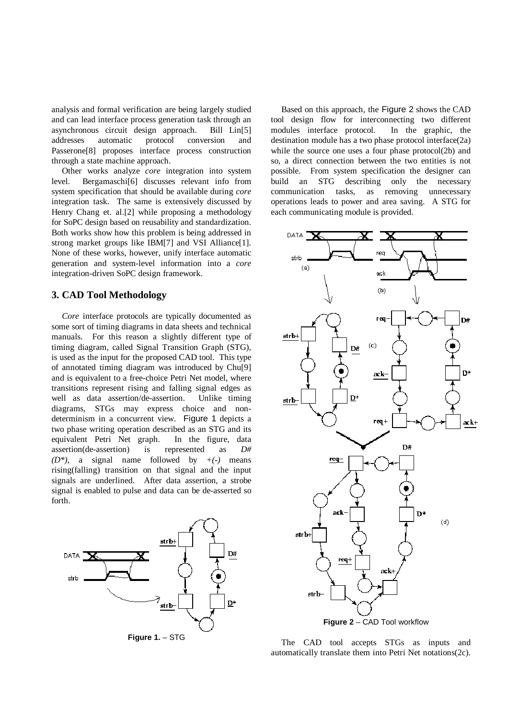analysis and formal verification are being largely studied and can lead interface process generation task through an asynchronous circuit design approach. Bill Lin[5] addresses automatic protocol conversion and Passerone[8] proposes interface process construction through a state machine approach.

Other works analyze *core* integration into system level. Bergamaschi[6] discusses relevant info from system specification that should be available during *core* integration task. The same is extensively discussed by Henry Chang et. al.[2] while proposing a methodology for SoPC design based on reusability and standardization. Both works show how this problem is being addressed in strong market groups like IBM[7] and VSI Alliance[1]. None of these works, however, unify interface automatic generation and system-level information into a *core* integration-driven SoPC design framework.

### **3. CAD Tool Methodology**

*Core* interface protocols are typically documented as some sort of timing diagrams in data sheets and technical manuals. For this reason a slightly different type of timing diagram, called Signal Transition Graph (STG), is used as the input for the proposed CAD tool. This type of annotated timing diagram was introduced by Chu[9] and is equivalent to a free-choice Petri Net model, where transitions represent rising and falling signal edges as well as data assertion/de-assertion. Unlike timing diagrams, STGs may express choice and nondeterminism in a concurrent view. Figure 1 depicts a two phase writing operation described as an STG and its equivalent Petri Net graph. In the figure, data assertion(de-assertion) is represented as *D# (D\*),* a signal name followed by *+(-)* means rising(falling) transition on that signal and the input signals are underlined. After data assertion, a strobe signal is enabled to pulse and data can be de-asserted so forth.



Based on this approach, the Figure 2 shows the CAD tool design flow for interconnecting two different modules interface protocol. In the graphic, the destination module has a two phase protocol interface(2a) while the source one uses a four phase protocol(2b) and so, a direct connection between the two entities is not possible. From system specification the designer can build an STG describing only the necessary communication tasks, as removing unnecessary operations leads to power and area saving. A STG for each communicating module is provided.



The CAD tool accepts STGs as inputs and automatically translate them into Petri Net notations(2c).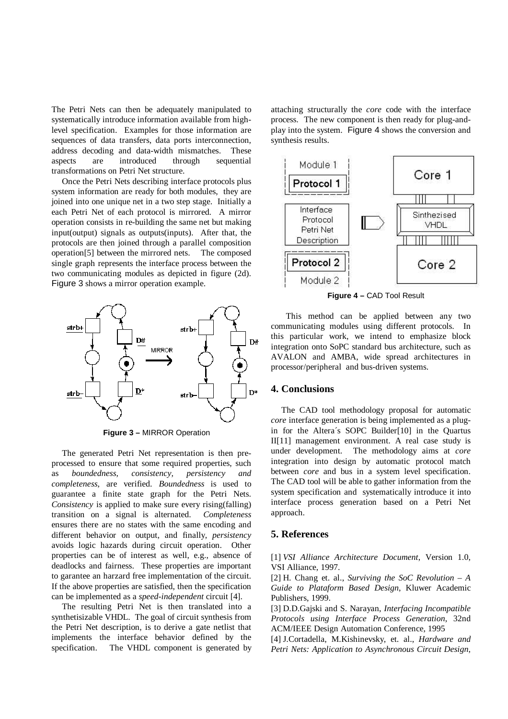The Petri Nets can then be adequately manipulated to systematically introduce information available from highlevel specification. Examples for those information are sequences of data transfers, data ports interconnection, address decoding and data-width mismatches. These aspects are introduced through sequential transformations on Petri Net structure.

Once the Petri Nets describing interface protocols plus system information are ready for both modules, they are joined into one unique net in a two step stage. Initially a each Petri Net of each protocol is mirrored. A mirror operation consists in re-building the same net but making input(output) signals as outputs(inputs). After that, the protocols are then joined through a parallel composition operation[5] between the mirrored nets. The composed single graph represents the interface process between the two communicating modules as depicted in figure (2d). Figure 3 shows a mirror operation example.



**Figure 3 –** MIRROR Operation

The generated Petri Net representation is then preprocessed to ensure that some required properties, such as *boundedness, consistency, persistency and completeness*, are verified. *Boundedness* is used to guarantee a finite state graph for the Petri Nets. *Consistency* is applied to make sure every rising(falling) transition on a signal is alternated. *Completeness* ensures there are no states with the same encoding and different behavior on output, and finally, *persistency* avoids logic hazards during circuit operation. Other properties can be of interest as well, e.g., absence of deadlocks and fairness. These properties are important to garantee an harzard free implementation of the circuit. If the above properties are satisfied, then the specification can be implemented as a *speed-independent* circuit [4].

The resulting Petri Net is then translated into a synthetisizable VHDL. The goal of circuit synthesis from the Petri Net description, is to derive a gate netlist that implements the interface behavior defined by the specification. The VHDL component is generated by attaching structurally the *core* code with the interface process. The new component is then ready for plug-andplay into the system. Figure 4 shows the conversion and synthesis results.



**Figure 4 –** CAD Tool Result

This method can be applied between any two communicating modules using different protocols. In this particular work, we intend to emphasize block integration onto SoPC standard bus architecture, such as AVALON and AMBA, wide spread architectures in processor/peripheral and bus-driven systems.

### **4. Conclusions**

The CAD tool methodology proposal for automatic *core* interface generation is being implemented as a plugin for the Altera´s SOPC Builder[10] in the Quartus II[11] management environment. A real case study is under development. The methodology aims at *core* integration into design by automatic protocol match between *core* and bus in a system level specification. The CAD tool will be able to gather information from the system specification and systematically introduce it into interface process generation based on a Petri Net approach.

#### **5. References**

[1] *VSI Alliance Architecture Document*, Version 1.0, VSI Alliance, 1997.

[2] H. Chang et. al., *Surviving the SoC Revolution – A Guide to Plataform Based Design*, Kluwer Academic Publishers, 1999.

[3] D.D.Gajski and S. Narayan, *Interfacing Incompatible Protocols using Interface Process Generation*, 32nd ACM/IEEE Design Automation Conference, 1995

[4] J.Cortadella, M.Kishinevsky, et. al., *Hardware and Petri Nets: Application to Asynchronous Circuit Design*,